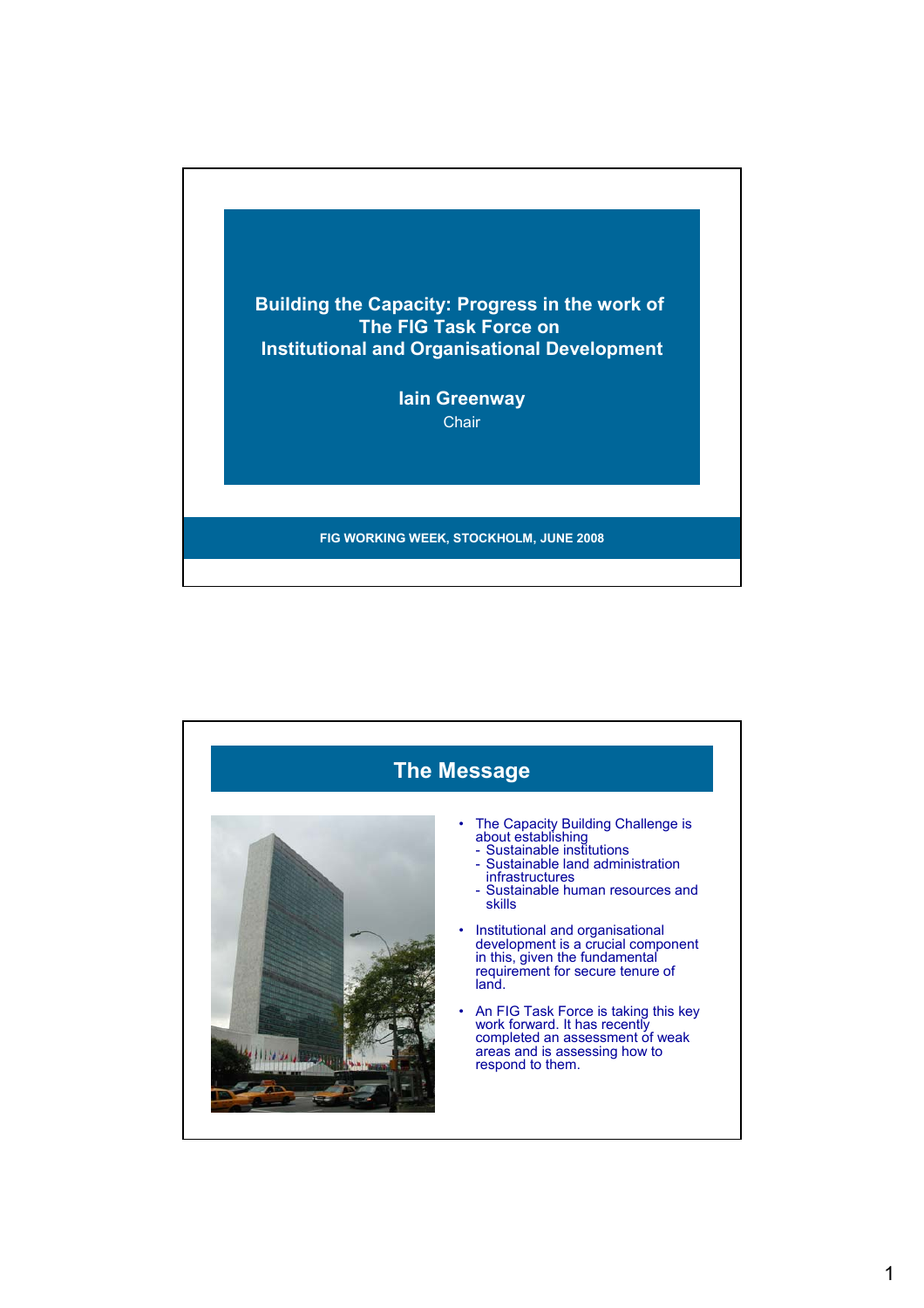

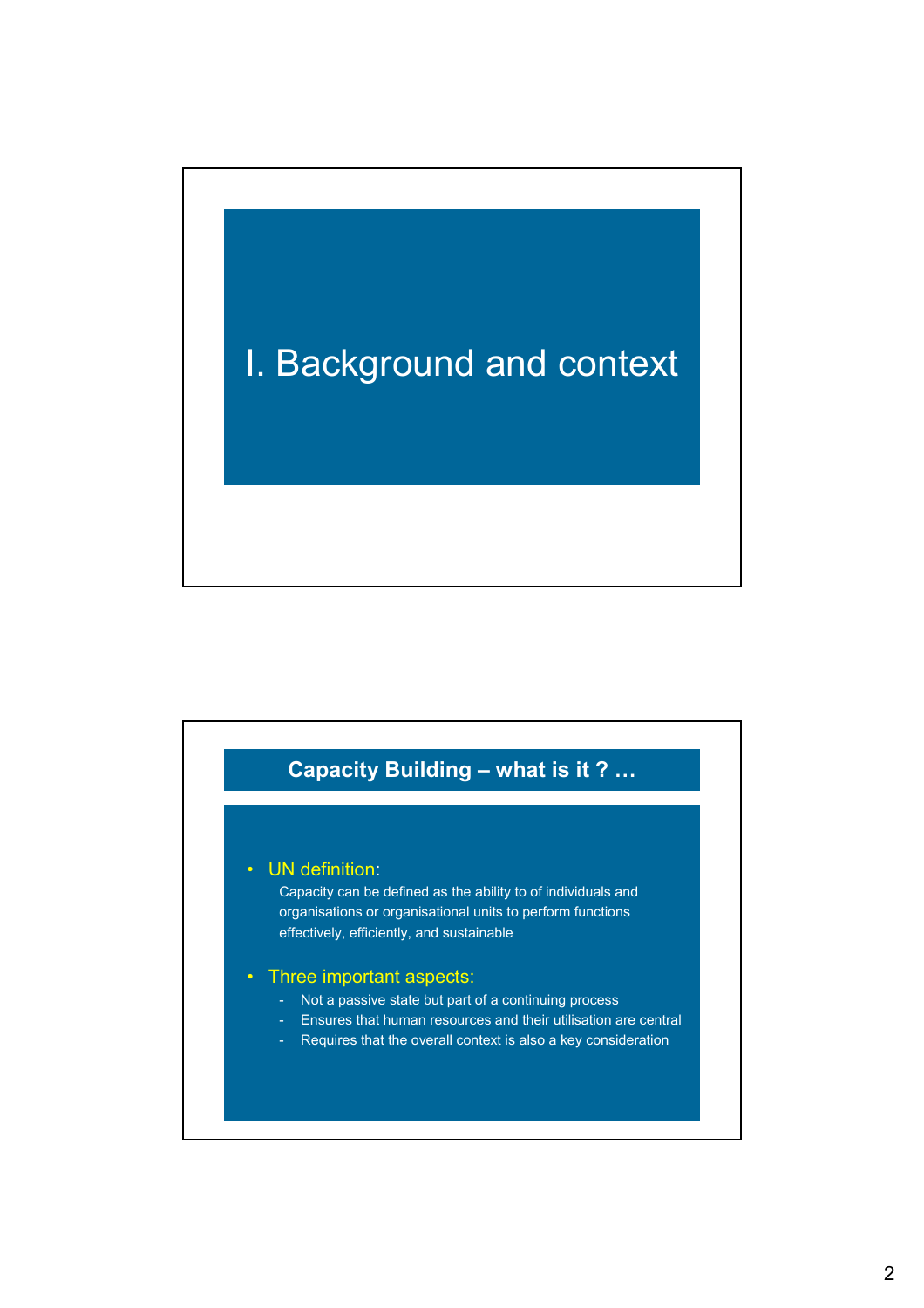# I. Background and context

# **Capacity Building – what is it ? …**

### • UN definition:

Capacity can be defined as the ability to of individuals and organisations or organisational units to perform functions effectively, efficiently, and sustainable

### • Three important aspects:

- Not a passive state but part of a continuing process
- Ensures that human resources and their utilisation are central
- Requires that the overall context is also a key consideration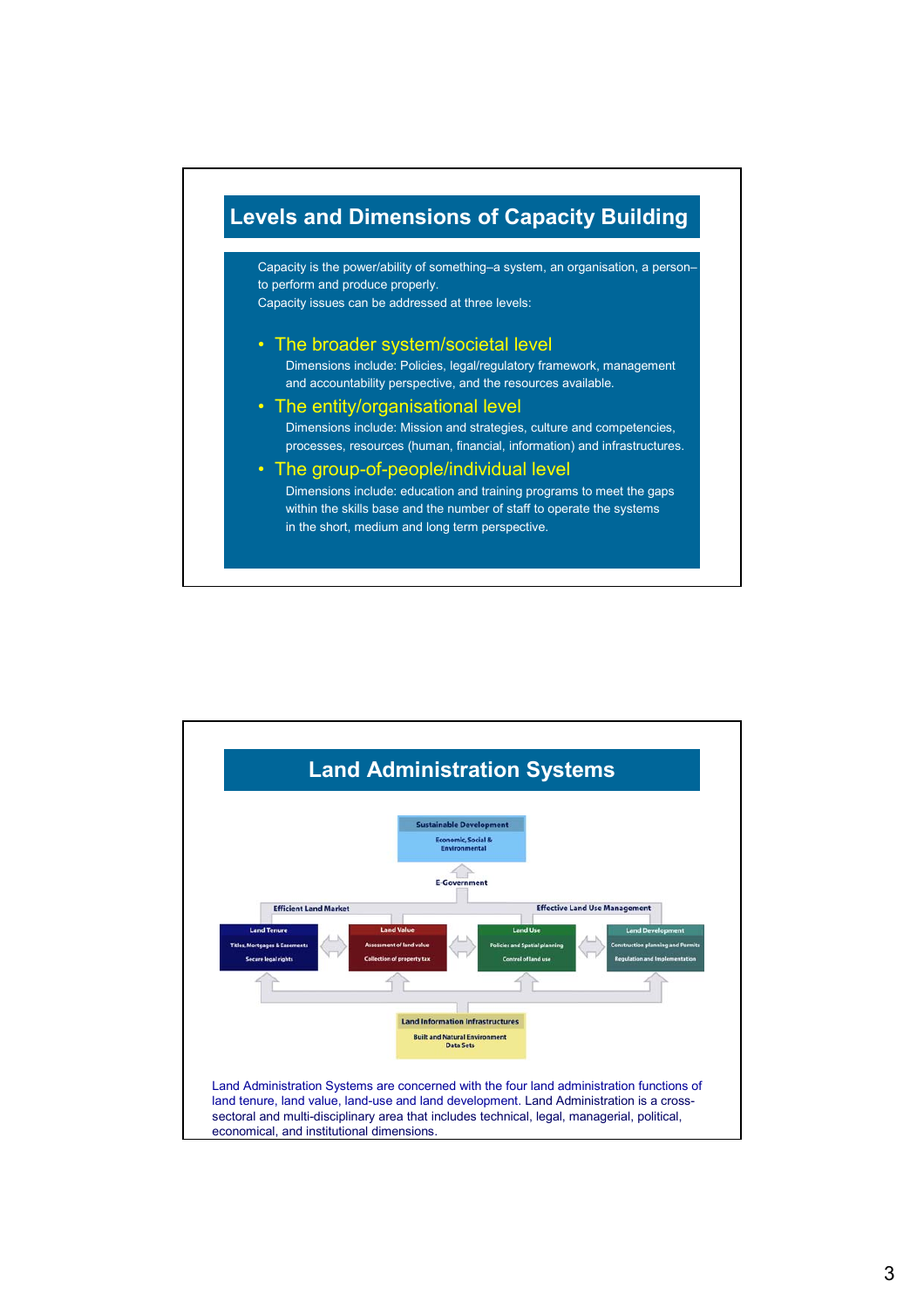

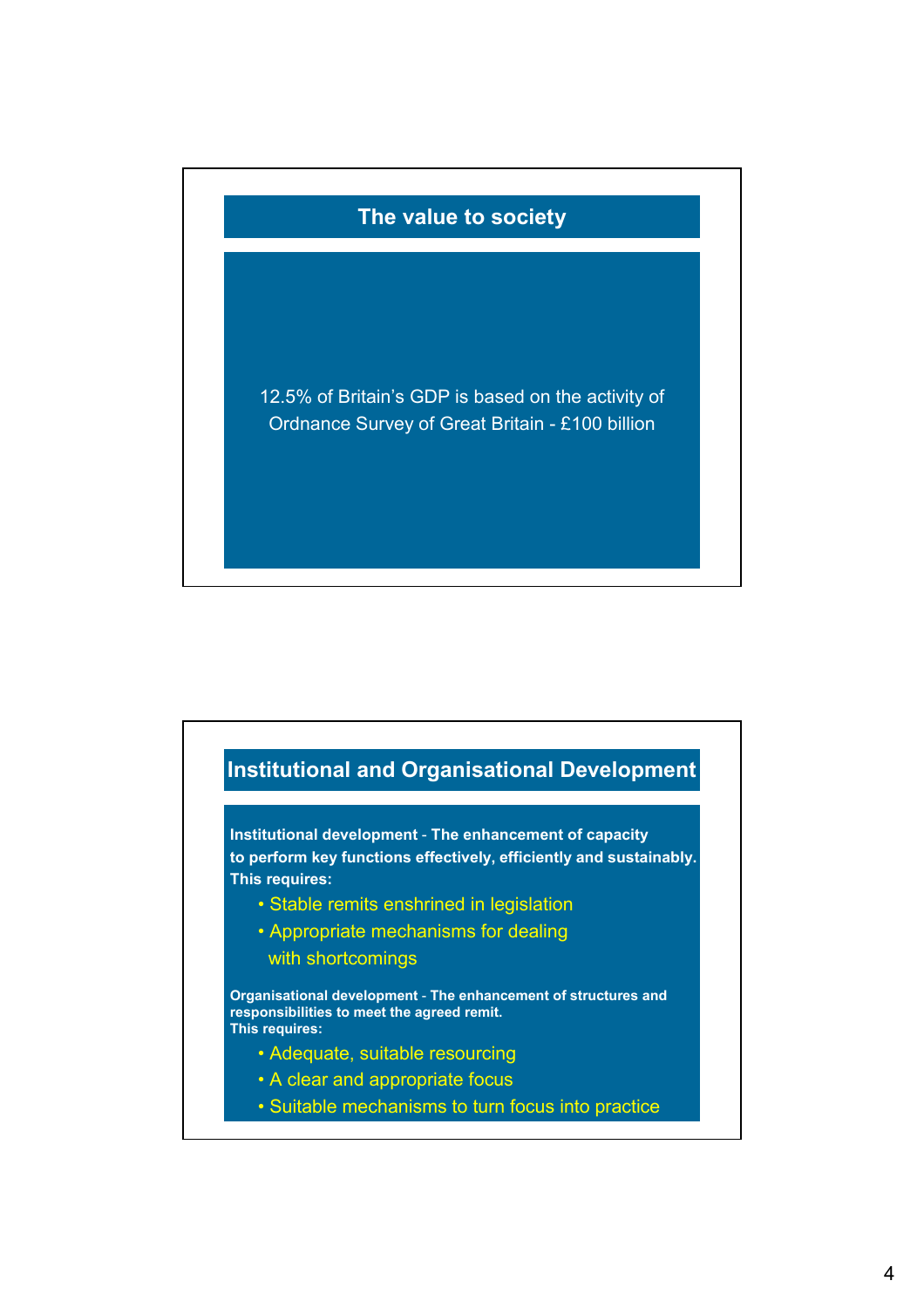

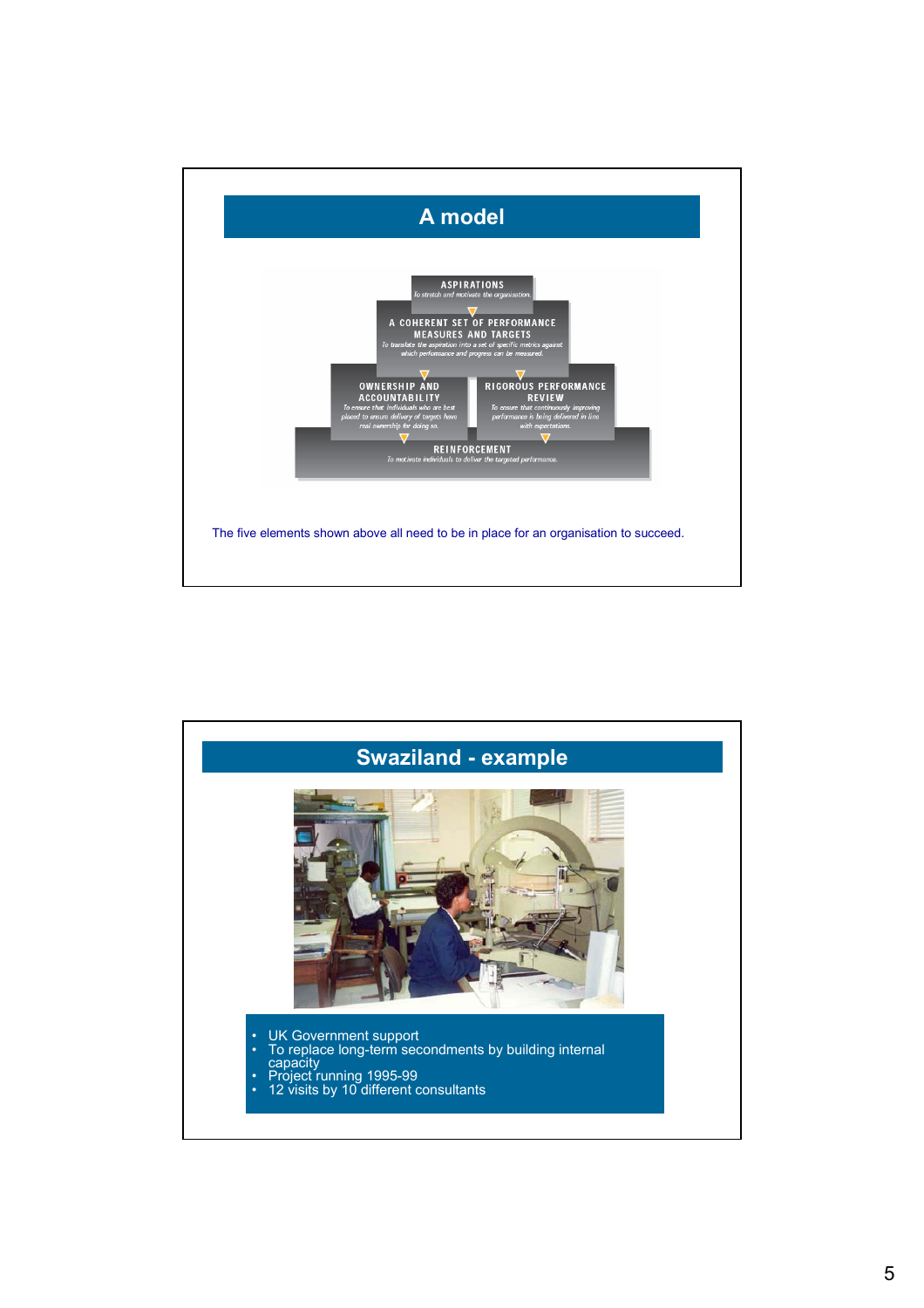

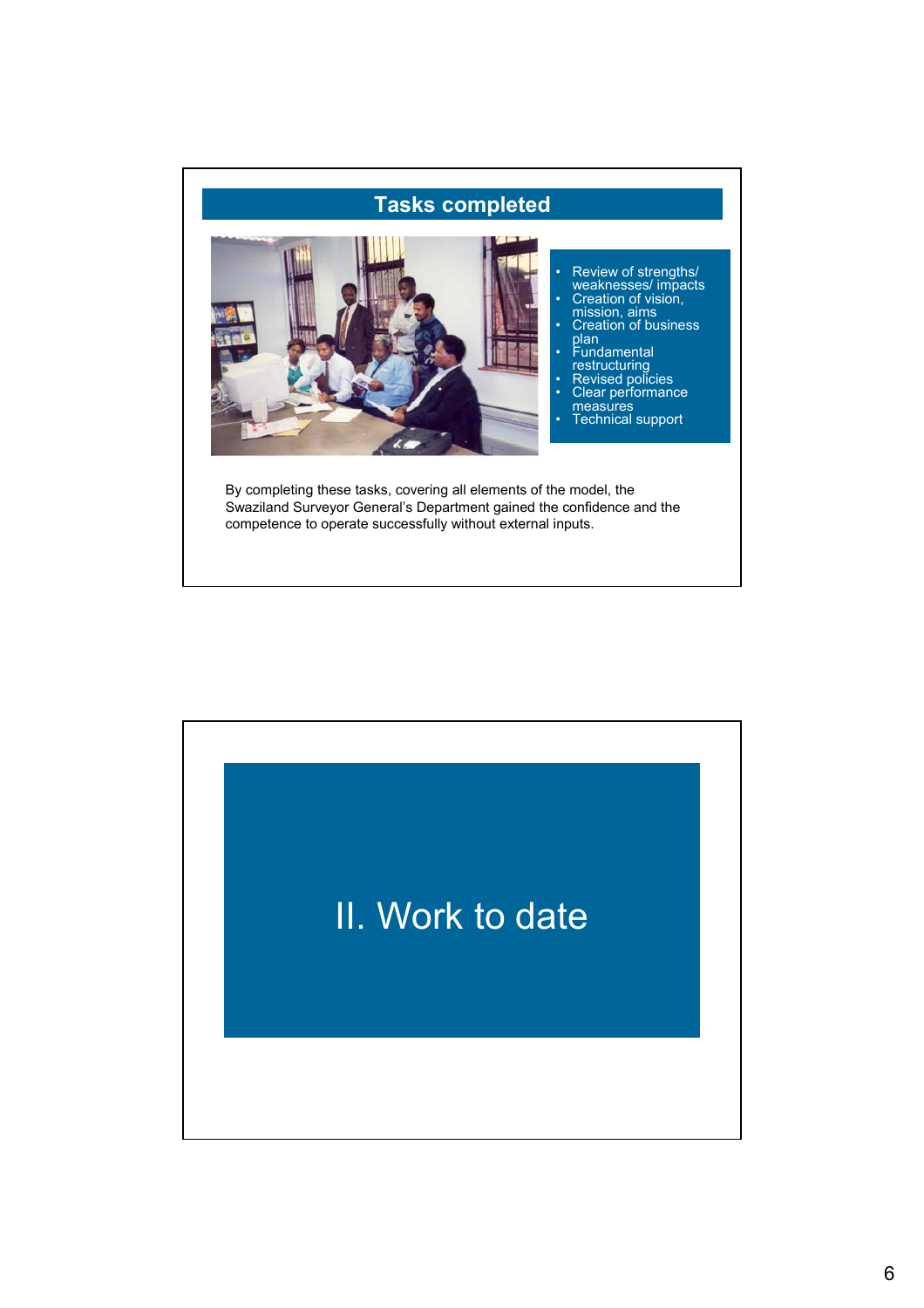

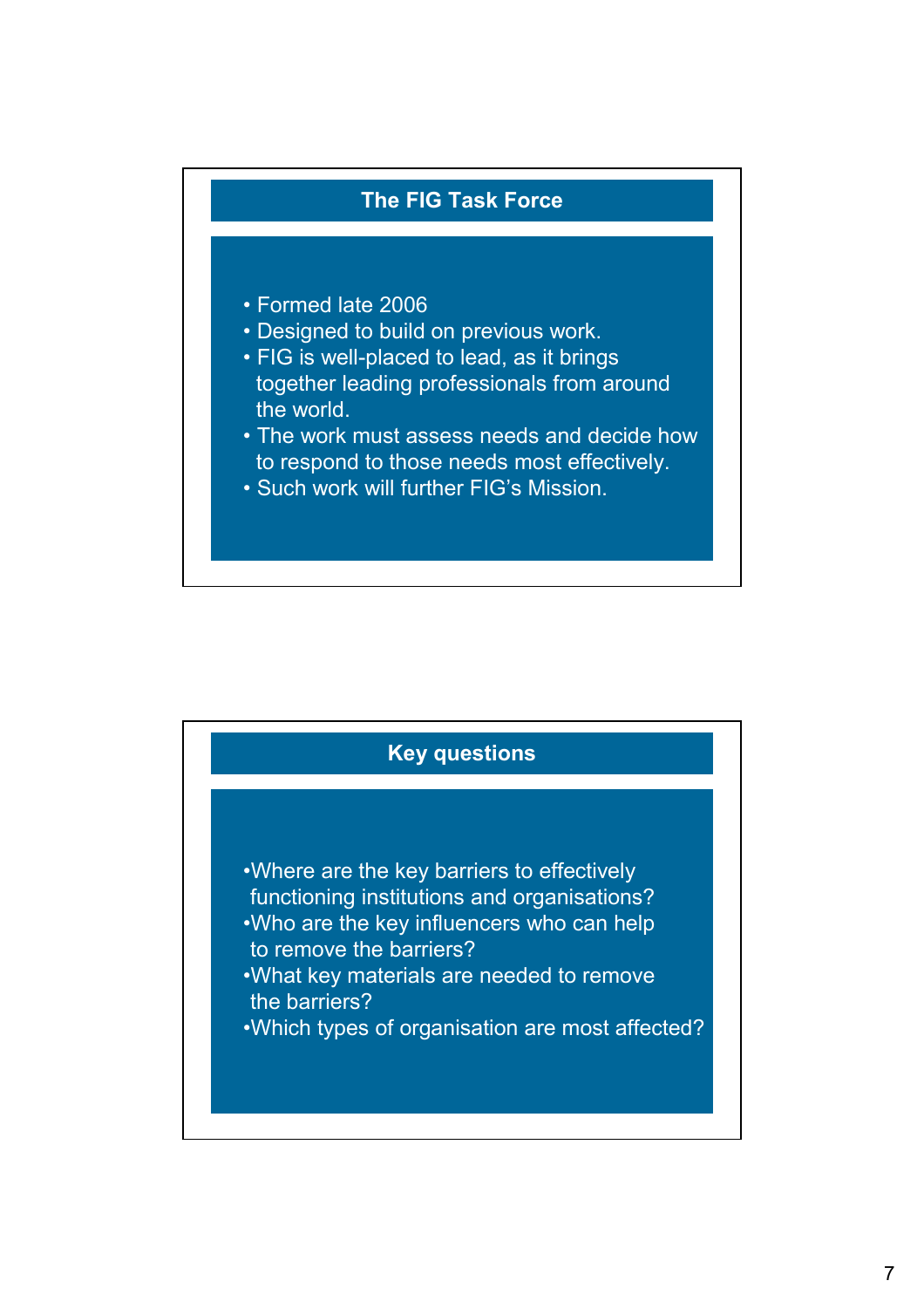

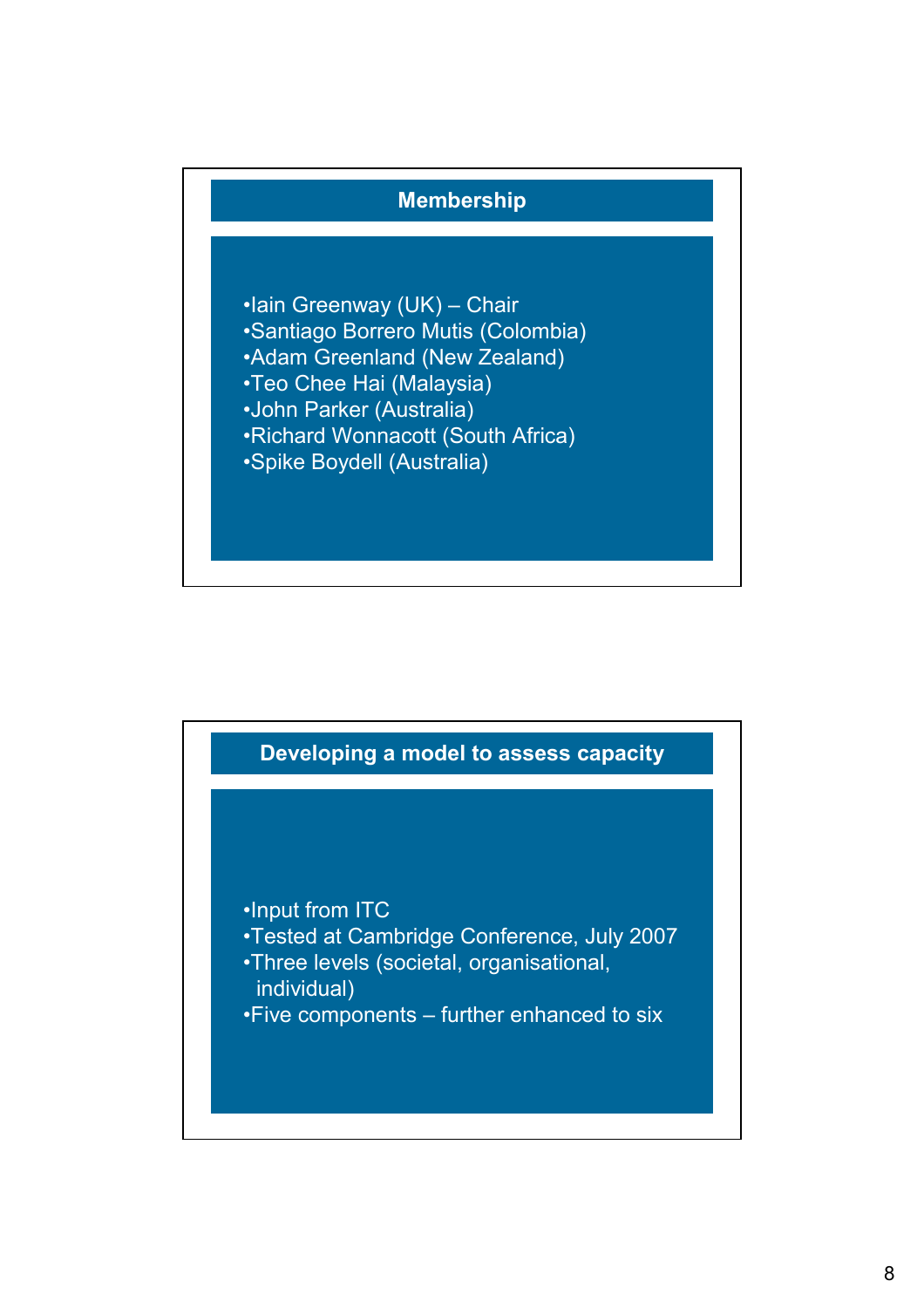

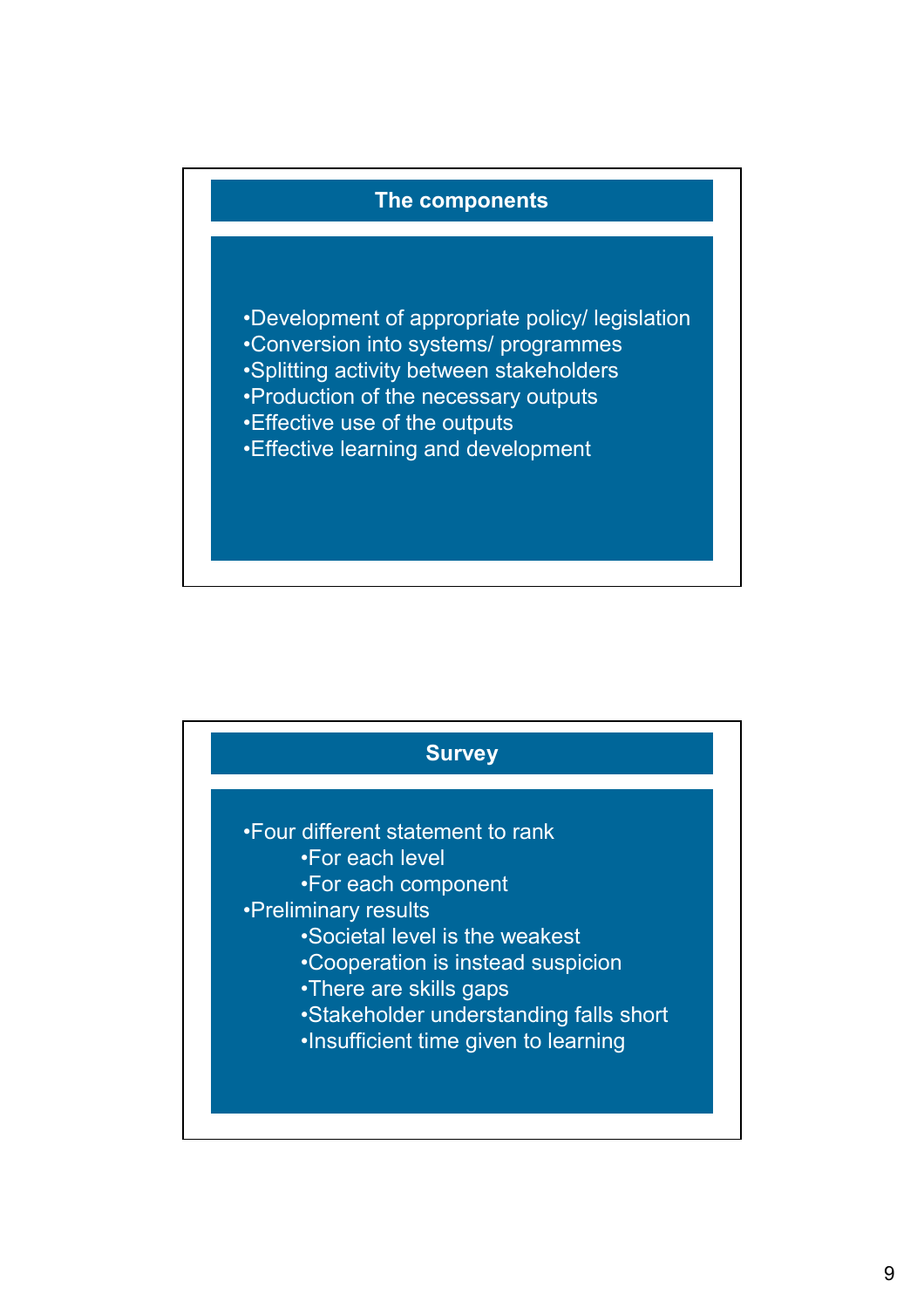## **The components**

•Development of appropriate policy/ legislation •Conversion into systems/ programmes

- •Splitting activity between stakeholders
- •Production of the necessary outputs
- •Effective use of the outputs
- •Effective learning and development

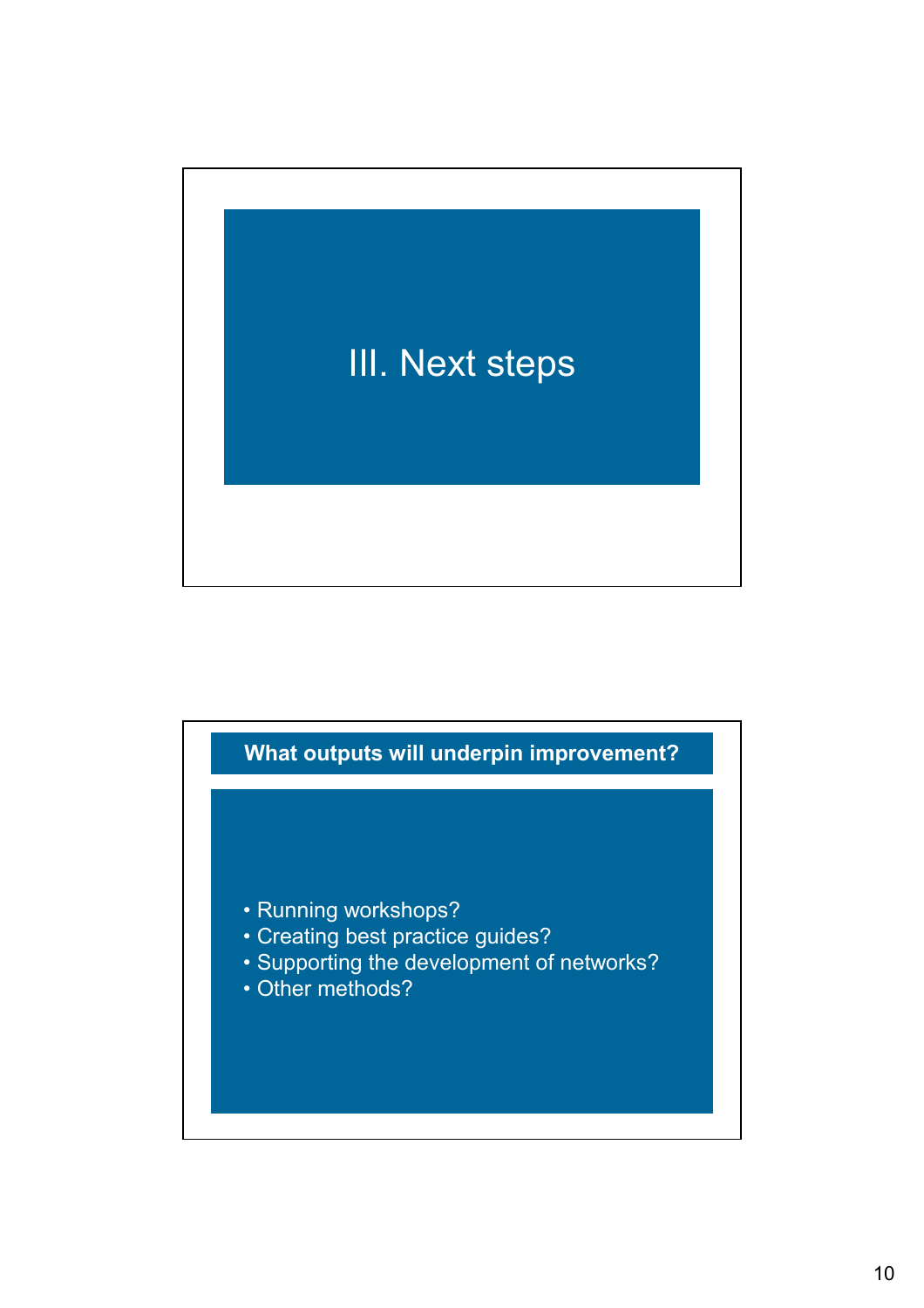